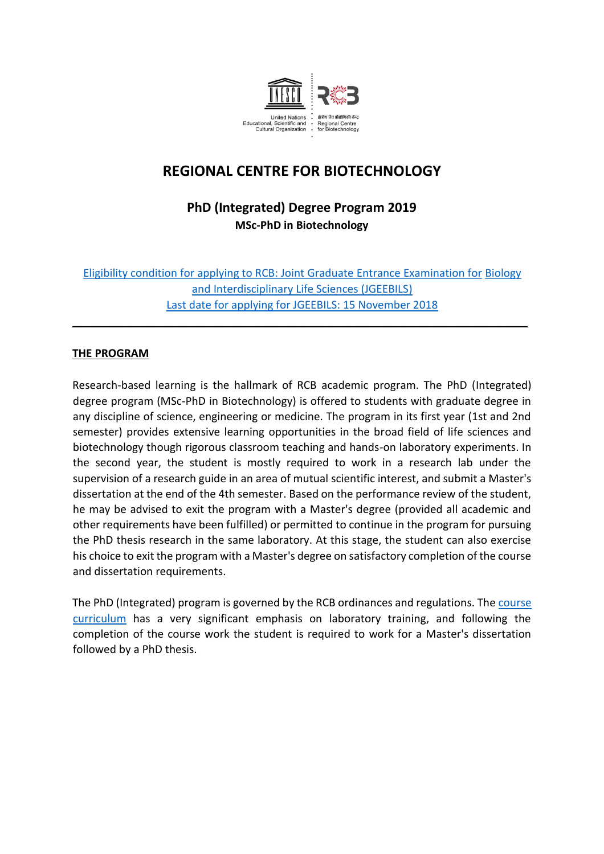

# **REGIONAL CENTRE FOR BIOTECHNOLOGY**

## **PhD (Integrated) Degree Program 2019 MSc-PhD in Biotechnology**

Eligibility condition for applying to RCB: Joint Graduate Entrance Examination for Biology and Interdisciplinary Life Sciences (JGEEBILS) Last date for applying for JGEEBILS: 15 November 2018

**\_\_\_\_\_\_\_\_\_\_\_\_\_\_\_\_\_\_\_\_\_\_\_\_\_\_\_\_\_\_\_\_\_\_\_\_\_\_\_\_\_\_\_\_\_\_\_\_\_\_\_\_\_\_\_\_\_\_\_\_\_\_\_\_\_\_\_\_\_\_\_\_\_\_\_**

#### **THE PROGRAM**

Research-based learning is the hallmark of RCB academic program. The PhD (Integrated) degree program (MSc-PhD in Biotechnology) is offered to students with graduate degree in any discipline of science, engineering or medicine. The program in its first year (1st and 2nd semester) provides extensive learning opportunities in the broad field of life sciences and biotechnology though rigorous classroom teaching and hands-on laboratory experiments. In the second year, the student is mostly required to work in a research lab under the supervision of a research guide in an area of mutual scientific interest, and submit a Master's dissertation at the end of the 4th semester. Based on the performance review of the student, he may be advised to exit the program with a Master's degree (provided all academic and other requirements have been fulfilled) or permitted to continue in the program for pursuing the PhD thesis research in the same laboratory. At this stage, the student can also exercise his choice to exit the program with a Master's degree on satisfactory completion of the course and dissertation requirements.

The PhD (Integrated) program is governed by the RCB ordinances and regulations. The course curriculum has a very significant emphasis on laboratory training, and following the completion of the course work the student is required to work for a Master's dissertation followed by a PhD thesis.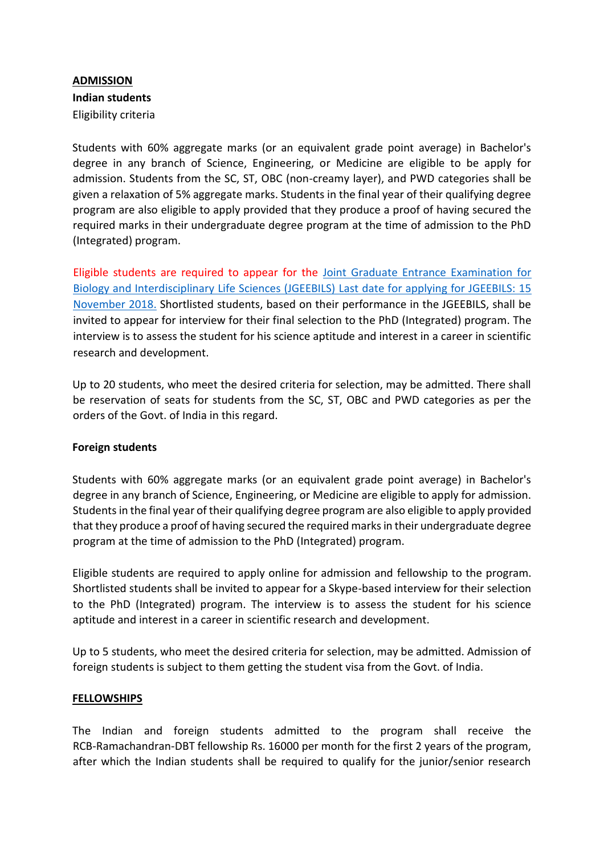### **ADMISSION Indian students**  Eligibility criteria

Students with 60% aggregate marks (or an equivalent grade point average) in Bachelor's degree in any branch of Science, Engineering, or Medicine are eligible to be apply for admission. Students from the SC, ST, OBC (non-creamy layer), and PWD categories shall be given a relaxation of 5% aggregate marks. Students in the final year of their qualifying degree program are also eligible to apply provided that they produce a proof of having secured the required marks in their undergraduate degree program at the time of admission to the PhD (Integrated) program.

Eligible students are required to appear for the [Joint Graduate Entrance Examination for](https://www.ncbs.res.in/academic/admissions-JGEEBILS) [Biology and Interdisciplinary Life Sciences \(JGEEBILS\)](https://www.ncbs.res.in/academic/admissions-JGEEBILS) Last date for applying for JGEEBILS: 15 [November 2018.](https://www.ncbs.res.in/academic/admissions-JGEEBILS) Shortlisted students, based on their performance in the JGEEBILS, shall be invited to appear for interview for their final selection to the PhD (Integrated) program. The interview is to assess the student for his science aptitude and interest in a career in scientific research and development.

Up to 20 students, who meet the desired criteria for selection, may be admitted. There shall be reservation of seats for students from the SC, ST, OBC and PWD categories as per the orders of the Govt. of India in this regard.

#### **Foreign students**

Students with 60% aggregate marks (or an equivalent grade point average) in Bachelor's degree in any branch of Science, Engineering, or Medicine are eligible to apply for admission. Students in the final year of their qualifying degree program are also eligible to apply provided that they produce a proof of having secured the required marks in their undergraduate degree program at the time of admission to the PhD (Integrated) program.

Eligible students are required to apply online for admission and fellowship to the program. Shortlisted students shall be invited to appear for a Skype-based interview for their selection to the PhD (Integrated) program. The interview is to assess the student for his science aptitude and interest in a career in scientific research and development.

Up to 5 students, who meet the desired criteria for selection, may be admitted. Admission of foreign students is subject to them getting the student visa from the Govt. of India.

#### **FELLOWSHIPS**

The Indian and foreign students admitted to the program shall receive the RCB-Ramachandran-DBT fellowship Rs. 16000 per month for the first 2 years of the program, after which the Indian students shall be required to qualify for the junior/senior research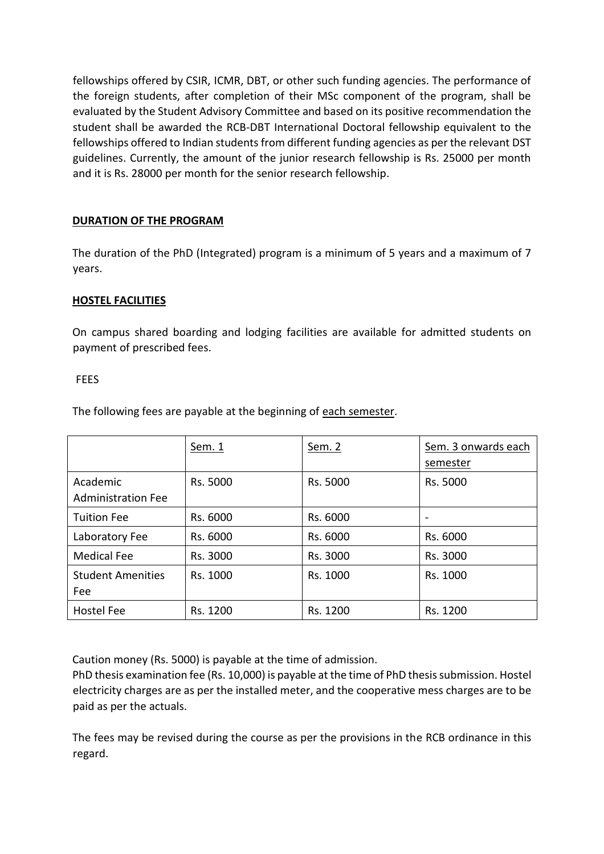fellowships offered by CSIR, ICMR, DBT, or other such funding agencies. The performance of the foreign students, after completion of their MSc component of the program, shall be evaluated by the Student Advisory Committee and based on its positive recommendation the student shall be awarded the RCB-DBT International Doctoral fellowship equivalent to the fellowships offered to Indian students from different funding agencies as per the relevant DST guidelines. Currently, the amount of the junior research fellowship is Rs. 25000 per month and it is Rs. 28000 per month for the senior research fellowship.

#### **DURATION OF THE PROGRAM**

The duration of the PhD (Integrated) program is a minimum of 5 years and a maximum of 7 years.

#### **HOSTEL FACILITIES**

On campus shared boarding and lodging facilities are available for admitted students on payment of prescribed fees.

#### FEES

The following fees are payable at the beginning of each semester.

|                                       | <u>Sem. 1</u> | <u>Sem. 2</u> | Sem. 3 onwards each<br>semester |
|---------------------------------------|---------------|---------------|---------------------------------|
| Academic<br><b>Administration Fee</b> | Rs. 5000      | Rs. 5000      | Rs. 5000                        |
| <b>Tuition Fee</b>                    | Rs. 6000      | Rs. 6000      |                                 |
| Laboratory Fee                        | Rs. 6000      | Rs. 6000      | Rs. 6000                        |
| <b>Medical Fee</b>                    | Rs. 3000      | Rs. 3000      | Rs. 3000                        |
| <b>Student Amenities</b><br>Fee       | Rs. 1000      | Rs. 1000      | Rs. 1000                        |
| <b>Hostel Fee</b>                     | Rs. 1200      | Rs. 1200      | Rs. 1200                        |

Caution money (Rs. 5000) is payable at the time of admission.

PhD thesis examination fee (Rs. 10,000) is payable at the time of PhD thesis submission. Hostel electricity charges are as per the installed meter, and the cooperative mess charges are to be paid as per the actuals.

The fees may be revised during the course as per the provisions in the RCB ordinance in this regard.